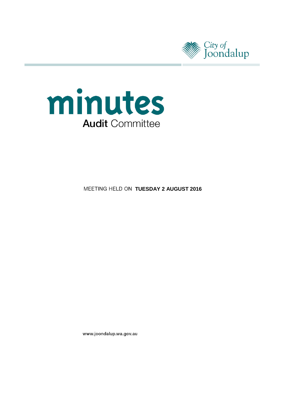



**MEETING HELD ON TUESDAY 2 AUGUST 2016** 

www.joondalup.wa.gov.au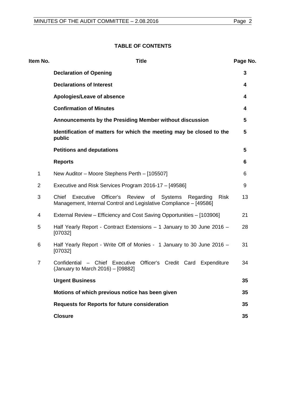# **TABLE OF CONTENTS**

| Item No.       | <b>Title</b>                                                                                                                                    | Page No. |
|----------------|-------------------------------------------------------------------------------------------------------------------------------------------------|----------|
|                | <b>Declaration of Opening</b>                                                                                                                   | 3        |
|                | <b>Declarations of Interest</b>                                                                                                                 | 4        |
|                | Apologies/Leave of absence                                                                                                                      | 4        |
|                | <b>Confirmation of Minutes</b>                                                                                                                  | 4        |
|                | Announcements by the Presiding Member without discussion                                                                                        | 5        |
|                | Identification of matters for which the meeting may be closed to the<br>public                                                                  | 5        |
|                | <b>Petitions and deputations</b>                                                                                                                | 5        |
|                | <b>Reports</b>                                                                                                                                  | 6        |
| 1              | New Auditor - Moore Stephens Perth - [105507]                                                                                                   | 6        |
| $\overline{2}$ | Executive and Risk Services Program 2016-17 – [49586]                                                                                           | 9        |
| 3              | Chief Executive<br>Officer's Review of Systems<br><b>Risk</b><br>Regarding<br>Management, Internal Control and Legislative Compliance - [49586] | 13       |
| 4              | External Review - Efficiency and Cost Saving Opportunities - [103906]                                                                           | 21       |
| 5              | Half Yearly Report - Contract Extensions - 1 January to 30 June 2016 -<br>[07032]                                                               | 28       |
| 6              | Half Yearly Report - Write Off of Monies - 1 January to 30 June 2016 -<br>[07032]                                                               | 31       |
| $\overline{7}$ | Confidential - Chief Executive Officer's Credit Card Expenditure<br>(January to March 2016) - [09882]                                           | 34       |
|                | <b>Urgent Business</b>                                                                                                                          | 35       |
|                | Motions of which previous notice has been given                                                                                                 | 35       |
|                | <b>Requests for Reports for future consideration</b>                                                                                            | 35       |
|                | <b>Closure</b>                                                                                                                                  | 35       |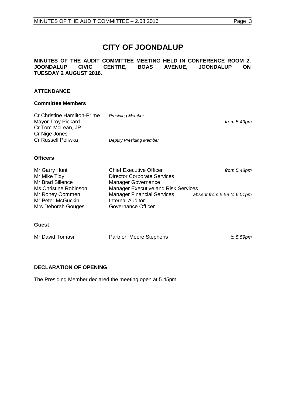# **CITY OF JOONDALUP**

#### **MINUTES OF THE AUDIT COMMITTEE MEETING HELD IN CONFERENCE ROOM 2, JOONDALUP TUESDAY 2 AUGUST 2016.**

#### **ATTENDANCE**

#### **Committee Members**

| <b>Cr Christine Hamilton-Prime</b><br><b>Mayor Troy Pickard</b><br>Cr Tom McLean, JP | <b>Presiding Member</b>        | from 5.49pm |
|--------------------------------------------------------------------------------------|--------------------------------|-------------|
| Cr Nige Jones<br>Cr Russell Poliwka                                                  | <b>Deputy Presiding Member</b> |             |
| <b>Officers</b>                                                                      |                                |             |
| MrCarnL                                                                              | Chiof Evocutive Officer        | from EADnm  |

| Mr Garry Hunt         | <b>Chief Executive Officer</b>      | from 5.48pm                |
|-----------------------|-------------------------------------|----------------------------|
| Mr Mike Tidy          | <b>Director Corporate Services</b>  |                            |
| Mr Brad Sillence      | Manager Governance                  |                            |
| Ms Christine Robinson | Manager Executive and Risk Services |                            |
| Mr Roney Oommen       | <b>Manager Financial Services</b>   | absent from 5.59 to 6.01pm |
| Mr Peter McGuckin     | <b>Internal Auditor</b>             |                            |
| Mrs Deborah Gouges    | Governance Officer                  |                            |
|                       |                                     |                            |
|                       |                                     |                            |

#### **Guest**

| Mr David Tomasi | Partner, Moore Stephens | to 5.59pm |
|-----------------|-------------------------|-----------|
|                 |                         |           |

### <span id="page-2-0"></span>**DECLARATION OF OPENING**

The Presiding Member declared the meeting open at 5.45pm.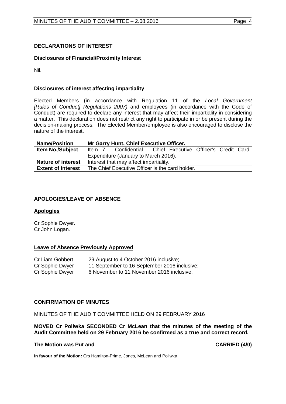#### <span id="page-3-0"></span>**DECLARATIONS OF INTEREST**

#### **Disclosures of Financial/Proximity Interest**

Nil.

#### **Disclosures of interest affecting impartiality**

Elected Members (in accordance with Regulation 11 of the *Local Government [Rules of Conduct] Regulations 2007)* and employees (in accordance with the Code of Conduct) are required to declare any interest that may affect their impartiality in considering a matter. This declaration does not restrict any right to participate in or be present during the decision-making process. The Elected Member/employee is also encouraged to disclose the nature of the interest.

| <b>Name/Position</b>      | Mr Garry Hunt, Chief Executive Officer.                       |  |  |  |
|---------------------------|---------------------------------------------------------------|--|--|--|
| <b>Item No./Subject</b>   | Item 7 - Confidential - Chief Executive Officer's Credit Card |  |  |  |
|                           | Expenditure (January to March 2016).                          |  |  |  |
| <b>Nature of interest</b> | Interest that may affect impartiality.                        |  |  |  |
| <b>Extent of Interest</b> | The Chief Executive Officer is the card holder.               |  |  |  |

#### <span id="page-3-1"></span>**APOLOGIES/LEAVE OF ABSENCE**

#### **Apologies**

Cr Sophie Dwyer. Cr John Logan.

#### **Leave of Absence Previously Approved**

| Cr Liam Gobbert | 29 August to 4 October 2016 inclusive;       |
|-----------------|----------------------------------------------|
| Cr Sophie Dwyer | 11 September to 16 September 2016 inclusive; |
| Cr Sophie Dwyer | 6 November to 11 November 2016 inclusive.    |

#### <span id="page-3-2"></span>**CONFIRMATION OF MINUTES**

#### MINUTES OF THE AUDIT COMMITTEE HELD ON 29 FEBRUARY 2016

**MOVED Cr Poliwka SECONDED Cr McLean that the minutes of the meeting of the Audit Committee held on 29 February 2016 be confirmed as a true and correct record.**

#### **The Motion was Put and CARRIED (4/0)**

**In favour of the Motion:** Crs Hamilton-Prime, Jones, McLean and Poliwka.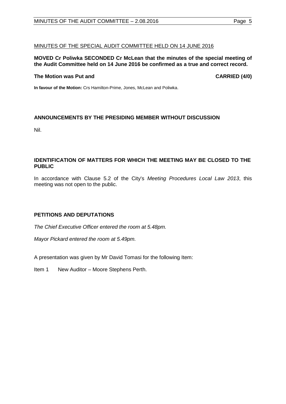#### MINUTES OF THE SPECIAL AUDIT COMMITTEE HELD ON 14 JUNE 2016

#### **MOVED Cr Poliwka SECONDED Cr McLean that the minutes of the special meeting of the Audit Committee held on 14 June 2016 be confirmed as a true and correct record.**

#### **The Motion was Put and CARRIED (4/0)**

**In favour of the Motion:** Crs Hamilton-Prime, Jones, McLean and Poliwka.

### <span id="page-4-0"></span>**ANNOUNCEMENTS BY THE PRESIDING MEMBER WITHOUT DISCUSSION**

Nil.

#### <span id="page-4-1"></span>**IDENTIFICATION OF MATTERS FOR WHICH THE MEETING MAY BE CLOSED TO THE PUBLIC**

In accordance with Clause 5.2 of the City's *Meeting Procedures Local Law 2013*, this meeting was not open to the public.

#### <span id="page-4-2"></span>**PETITIONS AND DEPUTATIONS**

*The Chief Executive Officer entered the room at 5.48pm.* 

*Mayor Pickard entered the room at 5.49pm.* 

A presentation was given by Mr David Tomasi for the following Item:

Item 1 New Auditor – Moore Stephens Perth.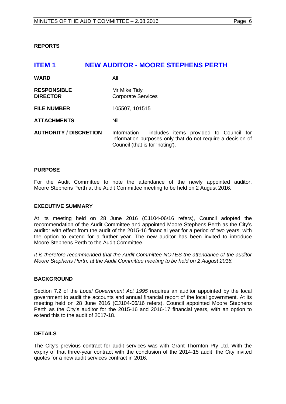<span id="page-5-0"></span>**REPORTS**

<span id="page-5-1"></span>

| <b>ITEM1</b>                          | <b>NEW AUDITOR - MOORE STEPHENS PERTH</b>                                                                                                              |
|---------------------------------------|--------------------------------------------------------------------------------------------------------------------------------------------------------|
| <b>WARD</b>                           | All                                                                                                                                                    |
| <b>RESPONSIBLE</b><br><b>DIRECTOR</b> | Mr Mike Tidy<br><b>Corporate Services</b>                                                                                                              |
| <b>FILE NUMBER</b>                    | 105507, 101515                                                                                                                                         |
| <b>ATTACHMENTS</b>                    | Nil                                                                                                                                                    |
| <b>AUTHORITY / DISCRETION</b>         | Information - includes items provided to Council for<br>information purposes only that do not require a decision of<br>Council (that is for 'noting'). |

#### **PURPOSE**

For the Audit Committee to note the attendance of the newly appointed auditor, Moore Stephens Perth at the Audit Committee meeting to be held on 2 August 2016.

#### **EXECUTIVE SUMMARY**

At its meeting held on 28 June 2016 (CJ104-06/16 refers), Council adopted the recommendation of the Audit Committee and appointed Moore Stephens Perth as the City's auditor with effect from the audit of the 2015-16 financial year for a period of two years, with the option to extend for a further year. The new auditor has been invited to introduce Moore Stephens Perth to the Audit Committee.

*It is therefore recommended that the Audit Committee NOTES the attendance of the auditor Moore Stephens Perth, at the Audit Committee meeting to be held on 2 August 2016.* 

#### **BACKGROUND**

Section 7.2 of the *Local Government Act 1995* requires an auditor appointed by the local government to audit the accounts and annual financial report of the local government. At its meeting held on 28 June 2016 (CJ104-06/16 refers), Council appointed Moore Stephens Perth as the City's auditor for the 2015-16 and 2016-17 financial years, with an option to extend this to the audit of 2017-18.

#### **DETAILS**

The City's previous contract for audit services was with Grant Thornton Pty Ltd. With the expiry of that three-year contract with the conclusion of the 2014-15 audit, the City invited quotes for a new audit services contract in 2016.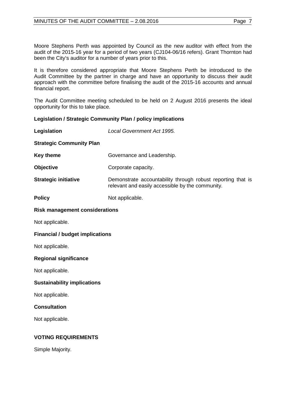Moore Stephens Perth was appointed by Council as the new auditor with effect from the audit of the 2015-16 year for a period of two years (CJ104-06/16 refers). Grant Thornton had been the City's auditor for a number of years prior to this.

It is therefore considered appropriate that Moore Stephens Perth be introduced to the Audit Committee by the partner in charge and have an opportunity to discuss their audit approach with the committee before finalising the audit of the 2015-16 accounts and annual financial report.

The Audit Committee meeting scheduled to be held on 2 August 2016 presents the ideal opportunity for this to take place.

#### **Legislation / Strategic Community Plan / policy implications**

| Legislation                            | Local Government Act 1995.                                                                                      |
|----------------------------------------|-----------------------------------------------------------------------------------------------------------------|
| <b>Strategic Community Plan</b>        |                                                                                                                 |
| <b>Key theme</b>                       | Governance and Leadership.                                                                                      |
| Objective                              | Corporate capacity.                                                                                             |
| <b>Strategic initiative</b>            | Demonstrate accountability through robust reporting that is<br>relevant and easily accessible by the community. |
| <b>Policy</b>                          | Not applicable.                                                                                                 |
| <b>Risk management considerations</b>  |                                                                                                                 |
| Not applicable.                        |                                                                                                                 |
| <b>Financial / budget implications</b> |                                                                                                                 |
| Not applicable.                        |                                                                                                                 |
| <b>Regional significance</b>           |                                                                                                                 |
| Not applicable.                        |                                                                                                                 |
| <b>Sustainability implications</b>     |                                                                                                                 |
| Not applicable.                        |                                                                                                                 |
| <b>Consultation</b>                    |                                                                                                                 |
| Not applicable.                        |                                                                                                                 |
| <b>VOTING REQUIREMENTS</b>             |                                                                                                                 |
| Simple Majority.                       |                                                                                                                 |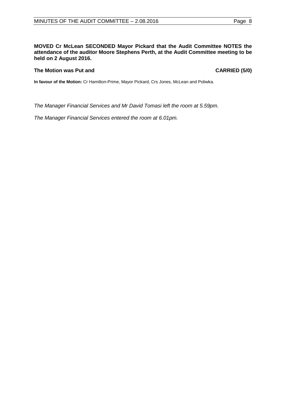#### **MOVED Cr McLean SECONDED Mayor Pickard that the Audit Committee NOTES the attendance of the auditor Moore Stephens Perth, at the Audit Committee meeting to be held on 2 August 2016.**

#### **The Motion was Put and CARRIED (5/0)**

**In favour of the Motion:** Cr Hamilton-Prime, Mayor Pickard, Crs Jones, McLean and Poliwka.

*The Manager Financial Services and Mr David Tomasi left the room at 5.59pm.*

*The Manager Financial Services entered the room at 6.01pm.*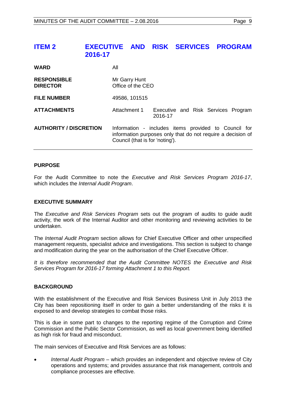## <span id="page-8-0"></span>**ITEM 2 EXECUTIVE AND RISK SERVICES PROGRAM 2016-17**

| <b>WARD</b>                           | All                                                                                                                                                    |                                                |  |  |
|---------------------------------------|--------------------------------------------------------------------------------------------------------------------------------------------------------|------------------------------------------------|--|--|
| <b>RESPONSIBLE</b><br><b>DIRECTOR</b> | Mr Garry Hunt<br>Office of the CEO                                                                                                                     |                                                |  |  |
| <b>FILE NUMBER</b>                    | 49586, 101515                                                                                                                                          |                                                |  |  |
| <b>ATTACHMENTS</b>                    | Attachment 1                                                                                                                                           | Executive and Risk Services Program<br>2016-17 |  |  |
| <b>AUTHORITY / DISCRETION</b>         | Information - includes items provided to Council for<br>information purposes only that do not require a decision of<br>Council (that is for 'noting'). |                                                |  |  |

#### **PURPOSE**

For the Audit Committee to note the *Executive and Risk Services Program 2016-17*, which includes the *Internal Audit Program*.

#### **EXECUTIVE SUMMARY**

The *Executive and Risk Services Program* sets out the program of audits to guide audit activity, the work of the Internal Auditor and other monitoring and reviewing activities to be undertaken.

The *Internal Audit Program* section allows for Chief Executive Officer and other unspecified management requests, specialist advice and investigations. This section is subject to change and modification during the year on the authorisation of the Chief Executive Officer.

*It is therefore recommended that the Audit Committee NOTES the Executive and Risk Services Program for 2016-17 forming Attachment 1 to this Report.*

#### **BACKGROUND**

With the establishment of the Executive and Risk Services Business Unit in July 2013 the City has been repositioning itself in order to gain a better understanding of the risks it is exposed to and develop strategies to combat those risks.

This is due in some part to changes to the reporting regime of the Corruption and Crime Commission and the Public Sector Commission, as well as local government being identified as high risk for fraud and misconduct.

The main services of Executive and Risk Services are as follows:

• *Internal Audit Program* – which provides an independent and objective review of City operations and systems; and provides assurance that risk management, controls and compliance processes are effective.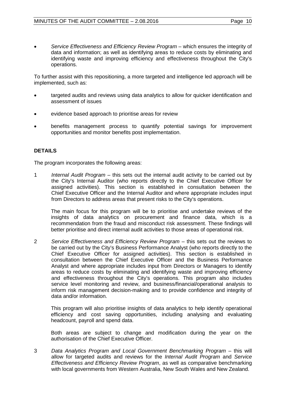• *Service Effectiveness and Efficiency Review Program* – which ensures the integrity of data and information; as well as identifying areas to reduce costs by eliminating and identifying waste and improving efficiency and effectiveness throughout the City's operations.

To further assist with this repositioning, a more targeted and intelligence led approach will be implemented, such as:

- targeted audits and reviews using data analytics to allow for quicker identification and assessment of issues
- evidence based approach to prioritise areas for review
- benefits management process to quantify potential savings for improvement opportunities and monitor benefits post implementation.

#### **DETAILS**

The program incorporates the following areas:

1 *Internal Audit Program* – this sets out the internal audit activity to be carried out by the City's Internal Auditor (who reports directly to the Chief Executive Officer for assigned activities). This section is established in consultation between the Chief Executive Officer and the Internal Auditor and where appropriate includes input from Directors to address areas that present risks to the City's operations.

The main focus for this program will be to prioritise and undertake reviews of the insights of data analytics on procurement and finance data, which is a recommendation from the fraud and misconduct risk assessment. These findings will better prioritise and direct internal audit activities to those areas of operational risk.

2 *Service Effectiveness and Efficiency Review Program* – this sets out the reviews to be carried out by the City's Business Performance Analyst (who reports directly to the Chief Executive Officer for assigned activities). This section is established in consultation between the Chief Executive Officer and the Business Performance Analyst and where appropriate includes input from Directors or Managers to identify areas to reduce costs by eliminating and identifying waste and improving efficiency and effectiveness throughout the City's operations. This program also includes service level monitoring and review, and business/financial/operational analysis to inform risk management decision-making and to provide confidence and integrity of data and/or information.

This program will also prioritise insights of data analytics to help identify operational efficiency and cost saving opportunities, including analysing and evaluating headcount, payroll and spend data.

Both areas are subject to change and modification during the year on the authorisation of the Chief Executive Officer.

3 *Data Analytics Program and Local Government Benchmarking Program* – this will allow for targeted audits and reviews for the *Internal Audit Program* and *Service Effectiveness and Efficiency Review Program*, as well as comparative benchmarking with local governments from Western Australia, New South Wales and New Zealand.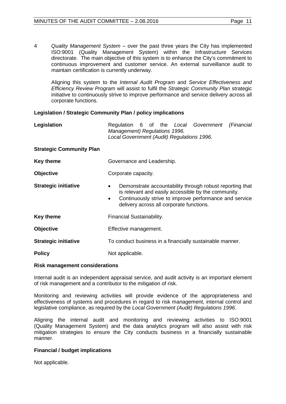4 *Quality Management System* – over the past three years the City has implemented<br>ISO:9001 (Quality Management System) within the Infrastructure Services (Quality Management System) within the Infrastructure Services directorate. The main objective of this system is to enhance the City's commitment to continuous improvement and customer service. An external surveillance audit to maintain certification is currently underway.

Aligning this system to the *Internal Audit Program* and *Service Effectiveness and Efficiency Review Program* will assist to fulfil the *Strategic Community Plan* strategic initiative to continuously strive to improve performance and service delivery across all corporate functions.

#### **Legislation / Strategic Community Plan / policy implications**

| Legislation                     | Regulation 6 of the Local Government<br>(Financial<br>Management) Regulations 1996.<br>Local Government (Audit) Regulations 1996.                                                                                                               |
|---------------------------------|-------------------------------------------------------------------------------------------------------------------------------------------------------------------------------------------------------------------------------------------------|
| <b>Strategic Community Plan</b> |                                                                                                                                                                                                                                                 |
| Key theme                       | Governance and Leadership.                                                                                                                                                                                                                      |
| <b>Objective</b>                | Corporate capacity.                                                                                                                                                                                                                             |
| <b>Strategic initiative</b>     | Demonstrate accountability through robust reporting that<br>$\bullet$<br>is relevant and easily accessible by the community.<br>Continuously strive to improve performance and service<br>$\bullet$<br>delivery across all corporate functions. |
| Key theme                       | <b>Financial Sustainability.</b>                                                                                                                                                                                                                |
| <b>Objective</b>                | Effective management.                                                                                                                                                                                                                           |
| <b>Strategic initiative</b>     | To conduct business in a financially sustainable manner.                                                                                                                                                                                        |
| <b>Policy</b>                   | Not applicable.                                                                                                                                                                                                                                 |

#### **Risk management considerations**

Internal audit is an independent appraisal service, and audit activity is an important element of risk management and a contributor to the mitigation of risk.

Monitoring and reviewing activities will provide evidence of the appropriateness and effectiveness of systems and procedures in regard to risk management, internal control and legislative compliance, as required by the *Local Government (Audit) Regulations 1996*.

Aligning the internal audit and monitoring and reviewing activities to ISO:9001 (Quality Management System) and the data analytics program will also assist with risk mitigation strategies to ensure the City conducts business in a financially sustainable manner.

#### **Financial / budget implications**

Not applicable.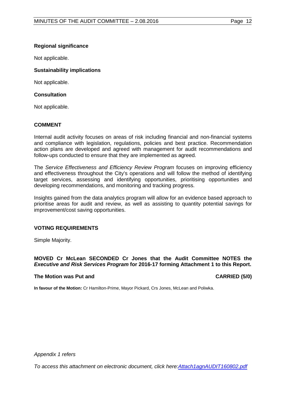#### **Regional significance**

Not applicable.

#### **Sustainability implications**

Not applicable.

#### **Consultation**

Not applicable.

### **COMMENT**

Internal audit activity focuses on areas of risk including financial and non-financial systems and compliance with legislation, regulations, policies and best practice. Recommendation action plans are developed and agreed with management for audit recommendations and follow-ups conducted to ensure that they are implemented as agreed.

The *Service Effectiveness and Efficiency Review Program* focuses on improving efficiency and effectiveness throughout the City's operations and will follow the method of identifying target services, assessing and identifying opportunities, prioritising opportunities and developing recommendations, and monitoring and tracking progress.

Insights gained from the data analytics program will allow for an evidence based approach to prioritise areas for audit and review, as well as assisting to quantity potential savings for improvement/cost saving opportunities.

#### **VOTING REQUIREMENTS**

Simple Majority.

#### **MOVED Cr McLean SECONDED Cr Jones that the Audit Committee NOTES the**  *Executive and Risk Services Program* **for 2016-17 forming Attachment 1 to this Report.**

#### **The Motion was Put and CARRIED (5/0)**

**In favour of the Motion:** Cr Hamilton-Prime, Mayor Pickard, Crs Jones, McLean and Poliwka.

*Appendix 1 refers*

<span id="page-11-0"></span>*[To access this attachment on electronic document, click here:Attach1agnAUDIT160802.pdf](http://www.joondalup.wa.gov.au/files/committees/AUDT/2016/Attach1agnAUDIT160802.pdf)*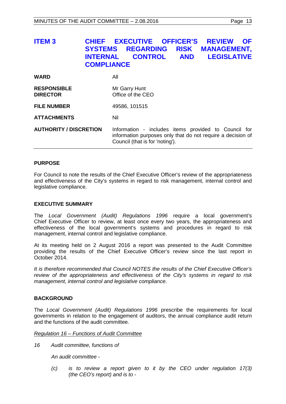# **ITEM 3 CHIEF EXECUTIVE OFFICER'S REVIEW OF SYSTEMS REGARDING RISK MANAGEMENT, I FGISI ATIVE COMPLIANCE**

| <b>WARD</b>                           | All                                                                                                                                                    |
|---------------------------------------|--------------------------------------------------------------------------------------------------------------------------------------------------------|
| <b>RESPONSIBLE</b><br><b>DIRECTOR</b> | Mr Garry Hunt<br>Office of the CEO                                                                                                                     |
| <b>FILE NUMBER</b>                    | 49586, 101515                                                                                                                                          |
| <b>ATTACHMENTS</b>                    | Nil                                                                                                                                                    |
| <b>AUTHORITY / DISCRETION</b>         | Information - includes items provided to Council for<br>information purposes only that do not require a decision of<br>Council (that is for 'noting'). |

#### **PURPOSE**

For Council to note the results of the Chief Executive Officer's review of the appropriateness and effectiveness of the City's systems in regard to risk management, internal control and legislative compliance.

#### **EXECUTIVE SUMMARY**

The *Local Government (Audit) Regulations 1996* require a local government's Chief Executive Officer to review, at least once every two years, the appropriateness and effectiveness of the local government's systems and procedures in regard to risk management, internal control and legislative compliance.

At its meeting held on 2 August 2016 a report was presented to the Audit Committee providing the results of the Chief Executive Officer's review since the last report in October 2014.

*It is therefore recommended that Council NOTES the results of the Chief Executive Officer's review of the appropriateness and effectiveness of the City's systems in regard to risk management, internal control and legislative compliance.*

#### **BACKGROUND**

The *Local Government (Audit) Regulations 1996* prescribe the requirements for local governments in relation to the engagement of auditors, the annual compliance audit return and the functions of the audit committee.

*Regulation 16 – Functions of Audit Committee*

*16 Audit committee, functions of*

*An audit committee -*

*(c) is to review a report given to it by the CEO under regulation 17(3) (the CEO's report) and is to -*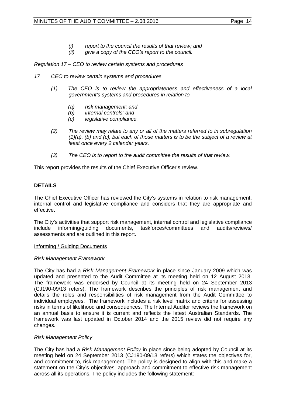- *(i) report to the council the results of that review; and*
- *(ii) give a copy of the CEO's report to the council.*

#### *Regulation 17 – CEO to review certain systems and procedures*

- *17 CEO to review certain systems and procedures*
	- *(1) The CEO is to review the appropriateness and effectiveness of a local government's systems and procedures in relation to -*
		- *(a) risk management; and*
		- *(b) internal controls; and*
		- *(c) legislative compliance.*
	- *(2) The review may relate to any or all of the matters referred to in subregulation (1)(a), (b) and (c), but each of those matters is to be the subject of a review at least once every 2 calendar years.*
	- *(3) The CEO is to report to the audit committee the results of that review.*

This report provides the results of the Chief Executive Officer's review.

### **DETAILS**

The Chief Executive Officer has reviewed the City's systems in relation to risk management, internal control and legislative compliance and considers that they are appropriate and effective.

The City's activities that support risk management, internal control and legislative compliance include informing/quiding documents, taskforces/committees and audits/reviews/ include informing/guiding documents, assessments and are outlined in this report.

#### Informing / Guiding Documents

#### *Risk Management Framework*

The City has had a *Risk Management Framework* in place since January 2009 which was updated and presented to the Audit Committee at its meeting held on 12 August 2013. The framework was endorsed by Council at its meeting held on 24 September 2013 (CJ190-09/13 refers). The framework describes the principles of risk management and details the roles and responsibilities of risk management from the Audit Committee to individual employees. The framework includes a risk level matrix and criteria for assessing risks in terms of likelihood and consequences. The Internal Auditor reviews the framework on an annual basis to ensure it is current and reflects the latest Australian Standards. The framework was last updated in October 2014 and the 2015 review did not require any changes.

#### *Risk Management Policy*

The City has had a *Risk Management Policy* in place since being adopted by Council at its meeting held on 24 September 2013 (CJ190-09/13 refers) which states the objectives for, and commitment to, risk management. The policy is designed to align with this and make a statement on the City's objectives, approach and commitment to effective risk management across all its operations. The policy includes the following statement: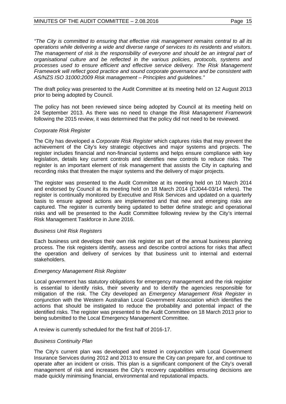#### MINUTES OF THE AUDIT COMMITTEE – 2.08.2016 Page 15

*"The City is committed to ensuring that effective risk management remains central to all its operations while delivering a wide and diverse range of services to its residents and visitors.* The management of risk is the responsibility of everyone and should be an integral part of *organisational culture and be reflected in the various policies, protocols, systems and processes used to ensure efficient and effective service delivery. The Risk Management Framework will reflect good practice and sound corporate governance and be consistent with AS/NZS ISO 31000:2009 Risk management – Principles and guidelines."*

The draft policy was presented to the Audit Committee at its meeting held on 12 August 2013 prior to being adopted by Council.

The policy has not been reviewed since being adopted by Council at its meeting held on 24 September 2013. As there was no need to change the *Risk Management Framework* following the 2015 review, it was determined that the policy did not need to be reviewed.

#### *Corporate Risk Register*

The City has developed a *Corporate Risk Register* which captures risks that may prevent the achievement of the City's key strategic objectives and major systems and projects. The register includes financial and non-financial systems and helps ensure compliance with key legislation, details key current controls and identifies new controls to reduce risks. The register is an important element of risk management that assists the City in capturing and recording risks that threaten the major systems and the delivery of major projects.

The register was presented to the Audit Committee at its meeting held on 10 March 2014 and endorsed by Council at its meeting held on 18 March 2014 (CJ044-03/14 refers). The register is continually monitored by Executive and Risk Services and updated on a quarterly basis to ensure agreed actions are implemented and that new and emerging risks are captured. The register is currently being updated to better define strategic and operational risks and will be presented to the Audit Committee following review by the City's internal Risk Management Taskforce in June 2016.

#### *Business Unit Risk Registers*

Each business unit develops their own risk register as part of the annual business planning process. The risk registers identify, assess and describe control actions for risks that affect the operation and delivery of services by that business unit to internal and external stakeholders.

#### *Emergency Management Risk Register*

Local government has statutory obligations for emergency management and the risk register is essential to identify risks, their severity and to identify the agencies responsible for mitigation of the risk. The City developed an *Emergency Management Risk Register* in conjunction with the Western Australian Local Government Association which identifies the actions that should be instigated to reduce the probability and potential impact of the identified risks. The register was presented to the Audit Committee on 18 March 2013 prior to being submitted to the Local Emergency Management Committee.

A review is currently scheduled for the first half of 2016-17.

#### *Business Continuity Plan*

The City's current plan was developed and tested in conjunction with Local Government Insurance Services during 2012 and 2013 to ensure the City can prepare for, and continue to operate after an incident or crisis. This plan is a significant component of the City's overall management of risk and increases the City's recovery capabilities ensuring decisions are made quickly minimising financial, environmental and reputational impacts.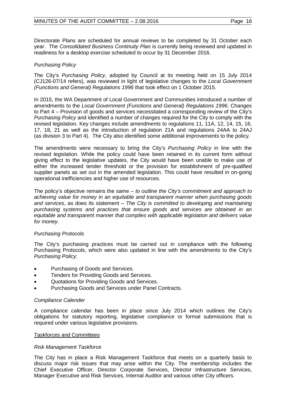Directorate Plans are scheduled for annual reviews to be completed by 31 October each year. The *Consolidated Business Continuity Plan* is currently being reviewed and updated in readiness for a desktop exercise scheduled to occur by 31 December 2016.

#### *Purchasing Policy*

The City's *Purchasing Policy*, adopted by Council at its meeting held on 15 July 2014 (CJ126-07/14 refers), was reviewed in light of legislative changes to the *Local Government (Functions and General) Regulations 1996* that took effect on 1 October 2015.

In 2015, the WA Department of Local Government and Communities introduced a number of amendments to the *Local Government (Functions and General) Regulations 1996*. Changes to Part 4 – Provision of goods and services necessitated a corresponding review of the City's *Purchasing Policy* and identified a number of changes required for the City to comply with the revised legislation. Key changes include amendments to regulations 11, 11A, 12, 14, 15, 16, 17, 18, 21 as well as the introduction of regulation 21A and regulations 24AA to 24AJ (as division 3 to Part 4). The City also identified some additional improvements to the policy.

The amendments were necessary to bring the City's *Purchasing Policy* in line with the revised legislation. While the policy could have been retained in its current form without giving effect to the legislative updates, the City would have been unable to make use of either the increased tender threshold or the provision for establishment of pre-qualified supplier panels as set out in the amended legislation. This could have resulted in on-going operational inefficiencies and higher use of resources.

The policy's objective remains the same – *to outline the City's commitment and approach to achieving value for money in an equitable and transparent manner when purchasing goods and services*, as does its statement – *The City is committed to developing and maintaining purchasing systems and practices that ensure goods and services are obtained in an equitable and transparent manner that complies with applicable legislation and delivers value for money.*

#### *Purchasing Protocols*

The City's purchasing practices must be carried out in compliance with the following Purchasing Protocols, which were also updated in line with the amendments to the City's *Purchasing Policy*:

- Purchasing of Goods and Services.
- Tenders for Providing Goods and Services.
- Quotations for Providing Goods and Services.
- Purchasing Goods and Services under Panel Contracts.

#### *Compliance Calender*

A compliance calendar has been in place since July 2014 which outlines the City's obligations for statutory reporting, legislative compliance or formal submissions that is required under various legislative provisions.

#### Taskforces and Committees

#### *Risk Management Taskforce*

The City has in place a Risk Management Taskforce that meets on a quarterly basis to discuss major risk issues that may arise within the City. The membership includes the Chief Executive Officer, Director Corporate Services, Director Infrastructure Services, Manager Executive and Risk Services, Internal Auditor and various other City officers.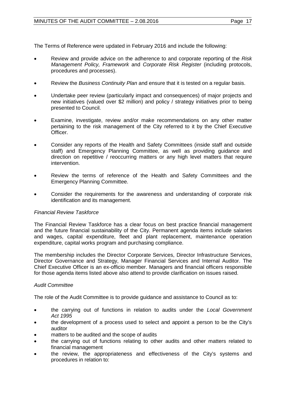The Terms of Reference were updated in February 2016 and include the following:

- Review and provide advice on the adherence to and corporate reporting of the *Risk Management Policy, Framework* and *Corporate Risk Register* (including protocols, procedures and processes).
- Review the *Business Continuity Plan* and ensure that it is tested on a regular basis.
- Undertake peer review (particularly impact and consequences) of major projects and new initiatives (valued over \$2 million) and policy / strategy initiatives prior to being presented to Council.
- Examine, investigate, review and/or make recommendations on any other matter pertaining to the risk management of the City referred to it by the Chief Executive Officer.
- Consider any reports of the Health and Safety Committees (inside staff and outside staff) and Emergency Planning Committee, as well as providing guidance and direction on repetitive / reoccurring matters or any high level matters that require intervention.
- Review the terms of reference of the Health and Safety Committees and the Emergency Planning Committee.
- Consider the requirements for the awareness and understanding of corporate risk identification and its management.

#### *Financial Review Taskforce*

The Financial Review Taskforce has a clear focus on best practice financial management and the future financial sustainability of the City. Permanent agenda items include salaries and wages, capital expenditure, fleet and plant replacement, maintenance operation expenditure, capital works program and purchasing compliance.

The membership includes the Director Corporate Services, Director Infrastructure Services, Director Governance and Strategy, Manager Financial Services and Internal Auditor. The Chief Executive Officer is an ex-officio member. Managers and financial officers responsible for those agenda items listed above also attend to provide clarification on issues raised.

#### *Audit Committee*

The role of the Audit Committee is to provide guidance and assistance to Council as to:

- the carrying out of functions in relation to audits under the *Local Government Act 1995*
- the development of a process used to select and appoint a person to be the City's auditor
- matters to be audited and the scope of audits
- the carrying out of functions relating to other audits and other matters related to financial management
- the review, the appropriateness and effectiveness of the City's systems and procedures in relation to: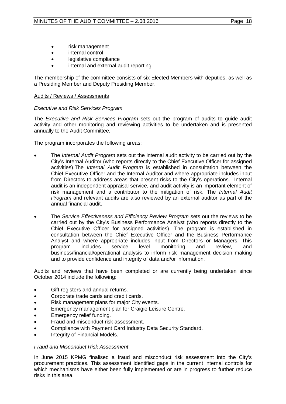- risk management
- internal control
- legislative compliance
- internal and external audit reporting

The membership of the committee consists of six Elected Members with deputies, as well as a Presiding Member and Deputy Presiding Member.

#### Audits / Reviews / Assessments

#### *Executive and Risk Services Program*

The *Executive and Risk Services Program* sets out the program of audits to guide audit activity and other monitoring and reviewing activities to be undertaken and is presented annually to the Audit Committee.

The program incorporates the following areas:

- The *Internal Audit Program* sets out the internal audit activity to be carried out by the City's Internal Auditor (who reports directly to the Chief Executive Officer for assigned activities).The *Internal Audit Program* is established in consultation between the Chief Executive Officer and the Internal Auditor and where appropriate includes input from Directors to address areas that present risks to the City's operations. Internal audit is an independent appraisal service, and audit activity is an important element of risk management and a contributor to the mitigation of risk. The *Internal Audit Program* and relevant audits are also reviewed by an external auditor as part of the annual financial audit.
- The *Service Effectiveness and Efficiency Review Program* sets out the reviews to be carried out by the City's Business Performance Analyst (who reports directly to the Chief Executive Officer for assigned activities). The program is established in consultation between the Chief Executive Officer and the Business Performance Analyst and where appropriate includes input from Directors or Managers. This program includes service level monitoring and review. and program includes service level monitoring and review, and business/financial/operational analysis to inform risk management decision making and to provide confidence and integrity of data and/or information.

Audits and reviews that have been completed or are currently being undertaken since October 2014 include the following:

- Gift registers and annual returns.
- Corporate trade cards and credit cards.
- Risk management plans for major City events.
- Emergency management plan for Craigie Leisure Centre.
- Emergency relief funding.
- Fraud and misconduct risk assessment.
- Compliance with Payment Card Industry Data Security Standard.
- Integrity of Financial Models.

#### *Fraud and Misconduct Risk Assessment*

In June 2015 KPMG finalised a fraud and misconduct risk assessment into the City's procurement practices. This assessment identified gaps in the current internal controls for which mechanisms have either been fully implemented or are in progress to further reduce risks in this area.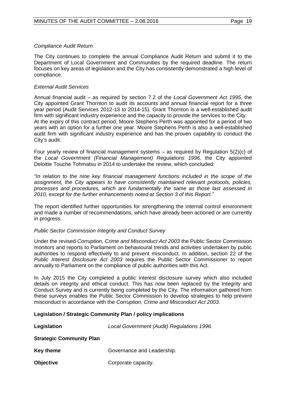#### *Compliance Audit Return*

The City continues to complete the annual Compliance Audit Return and submit it to the Department of Local Government and Communities by the required deadline. The return focuses on key areas of legislation and the City has consistently demonstrated a high level of compliance.

#### *External Audit Services*

Annual financial audit – as required by section 7.2 of the *Local Government Act 1995*, the City appointed Grant Thornton to audit its accounts and annual financial report for a three year period (Audit Services 2012-13 to 2014-15). Grant Thornton is a well-established audit firm with significant industry experience and the capacity to provide the services to the City. At the expiry of this contract period, Moore Stephens Perth was appointed for a period of two years with an option for a further one year. Moore Stephens Perth is also a well-established audit firm with significant industry experience and has the proven capability to conduct the City's audit.

Four yearly review of financial management systems – as required by Regulation 5(2)(c) of the *Local Government (Financial Management) Regulations 1996,* the City appointed Deloitte Touche Tohmatsu in 2014 to undertake the review, which concluded:

*"In relation to the nine key financial management functions included in the scope of the assignment, the City appears to have consistently maintained relevant protocols, policies, processes and procedures, which are fundamentally the same as those last assessed in 2010, except for the further enhancements noted at Section 3 of this Report."* 

The report identified further opportunities for strengthening the internal control environment and made a number of recommendations, which have already been actioned or are currently in progress.

#### *Public Sector Commission Integrity and Conduct Survey*

Under the revised *Corruption, Crime and Misconduct Act 2003* the Public Sector Commission monitors and reports to Parliament on behavioural trends and activities undertaken by public authorities to respond effectively to and prevent misconduct. In addition, section 22 of the *Public Interest Disclosure Act 2003* requires the Public Sector Commissioner to report annually to Parliament on the compliance of public authorities with this Act.

In July 2015 the City completed a public interest disclosure survey which also included details on integrity and ethical conduct. This has now been replaced by the Integrity and Conduct Survey and is currently being completed by the City. The information gathered from these surveys enables the Public Sector Commission to develop strategies to help prevent misconduct in accordance with the *Corruption, Crime and Misconduct Act 2003.*

#### **Legislation / Strategic Community Plan / policy implications**

| Legislation                     | Local Government (Audit) Regulations 1996. |  |  |
|---------------------------------|--------------------------------------------|--|--|
| <b>Strategic Community Plan</b> |                                            |  |  |
| <b>Key theme</b>                | Governance and Leadership.                 |  |  |
| <b>Objective</b>                | Corporate capacity.                        |  |  |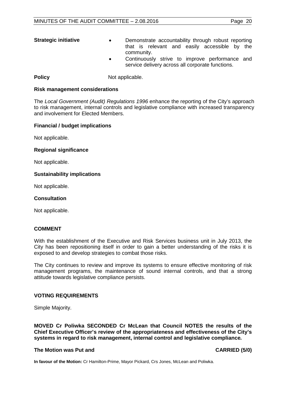- **Strategic initiative Demonstrate accountability through robust reporting** that is relevant and easily accessible by the community.
	- Continuously strive to improve performance and service delivery across all corporate functions.

**Policy** Not applicable.

#### **Risk management considerations**

The *Local Government (Audit) Regulations 1996* enhance the reporting of the City's approach to risk management, internal controls and legislative compliance with increased transparency and involvement for Elected Members.

#### **Financial / budget implications**

Not applicable.

#### **Regional significance**

Not applicable.

#### **Sustainability implications**

Not applicable.

#### **Consultation**

Not applicable.

#### **COMMENT**

With the establishment of the Executive and Risk Services business unit in July 2013, the City has been repositioning itself in order to gain a better understanding of the risks it is exposed to and develop strategies to combat those risks.

The City continues to review and improve its systems to ensure effective monitoring of risk management programs, the maintenance of sound internal controls, and that a strong attitude towards legislative compliance persists.

#### **VOTING REQUIREMENTS**

Simple Majority.

**MOVED Cr Poliwka SECONDED Cr McLean that Council NOTES the results of the Chief Executive Officer's review of the appropriateness and effectiveness of the City's systems in regard to risk management, internal control and legislative compliance***.*

#### **The Motion was Put and CARRIED (5/0)**

<span id="page-19-0"></span>**In favour of the Motion:** Cr Hamilton-Prime, Mayor Pickard, Crs Jones, McLean and Poliwka.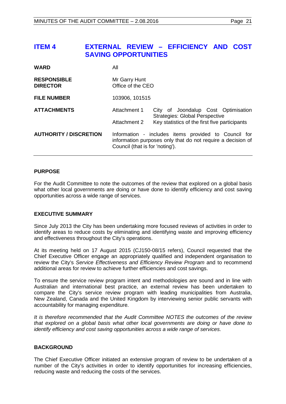# **ITEM 4 EXTERNAL REVIEW – EFFICIENCY AND COST SAVING OPPORTUNITIES**

| <b>WARD</b>                           | All                                                                                                                                                    |                                                                              |
|---------------------------------------|--------------------------------------------------------------------------------------------------------------------------------------------------------|------------------------------------------------------------------------------|
| <b>RESPONSIBLE</b><br><b>DIRECTOR</b> | Mr Garry Hunt<br>Office of the CEO                                                                                                                     |                                                                              |
| <b>FILE NUMBER</b>                    | 103906, 101515                                                                                                                                         |                                                                              |
| <b>ATTACHMENTS</b>                    | Attachment 1                                                                                                                                           | City of Joondalup Cost Optimisation<br><b>Strategies: Global Perspective</b> |
|                                       | Attachment 2                                                                                                                                           | Key statistics of the first five participants                                |
| <b>AUTHORITY / DISCRETION</b>         | Information - includes items provided to Council for<br>information purposes only that do not require a decision of<br>Council (that is for 'noting'). |                                                                              |

#### **PURPOSE**

For the Audit Committee to note the outcomes of the review that explored on a global basis what other local governments are doing or have done to identify efficiency and cost saving opportunities across a wide range of services.

#### **EXECUTIVE SUMMARY**

Since July 2013 the City has been undertaking more focused reviews of activities in order to identify areas to reduce costs by eliminating and identifying waste and improving efficiency and effectiveness throughout the City's operations.

At its meeting held on 17 August 2015 (CJ150-08/15 refers), Council requested that the Chief Executive Officer engage an appropriately qualified and independent organisation to review the City's *Service Effectiveness and Efficiency Review Program* and to recommend additional areas for review to achieve further efficiencies and cost savings.

To ensure the service review program intent and methodologies are sound and in line with Australian and international best practice, an external review has been undertaken to compare the City's service review program with leading municipalities from Australia, New Zealand, Canada and the United Kingdom by interviewing senior public servants with accountability for managing expenditure.

*It is therefore recommended that the Audit Committee NOTES the outcomes of the review that explored on a global basis what other local governments are doing or have done to identify efficiency and cost saving opportunities across a wide range of services.* 

#### **BACKGROUND**

The Chief Executive Officer initiated an extensive program of review to be undertaken of a number of the City's activities in order to identify opportunities for increasing efficiencies, reducing waste and reducing the costs of the services.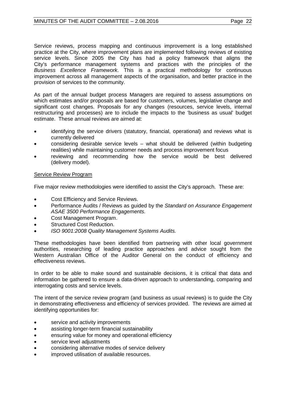Service reviews, process mapping and continuous improvement is a long established practice at the City, where improvement plans are implemented following reviews of existing service levels. Since 2005 the City has had a policy framework that aligns the City's performance management systems and practices with the principles of the *Business Excellence Framework*. This is a practical methodology for continuous improvement across all management aspects of the organisation, and better practice in the provision of services to the community.

As part of the annual budget process Managers are required to assess assumptions on which estimates and/or proposals are based for customers, volumes, legislative change and significant cost changes. Proposals for any changes (resources, service levels, internal restructuring and processes) are to include the impacts to the 'business as usual' budget estimate. These annual reviews are aimed at:

- identifying the service drivers (statutory, financial, operational) and reviews what is currently delivered
- considering desirable service levels  $-$  what should be delivered (within budgeting realities) while maintaining customer needs and process improvement focus
- reviewing and recommending how the service would be best delivered (delivery model).

#### Service Review Program

Five major review methodologies were identified to assist the City's approach. These are:

- Cost Efficiency and Service Reviews.
- Performance Audits / Reviews as guided by the *Standard on Assurance Engagement ASAE 3500 Performance Engagements.*
- Cost Management Program.
- Structured Cost Reduction.
- *ISO 9001:2008 Quality Management Systems Audits.*

These methodologies have been identified from partnering with other local government authorities, researching of leading practice approaches and advice sought from the Western Australian Office of the Auditor General on the conduct of efficiency and effectiveness reviews.

In order to be able to make sound and sustainable decisions, it is critical that data and information be gathered to ensure a data-driven approach to understanding, comparing and interrogating costs and service levels.

The intent of the service review program (and business as usual reviews) is to guide the City in demonstrating effectiveness and efficiency of services provided. The reviews are aimed at identifying opportunities for:

- service and activity improvements
- assisting longer-term financial sustainability
- ensuring value for money and operational efficiency
- service level adjustments
- considering alternative modes of service delivery
- improved utilisation of available resources.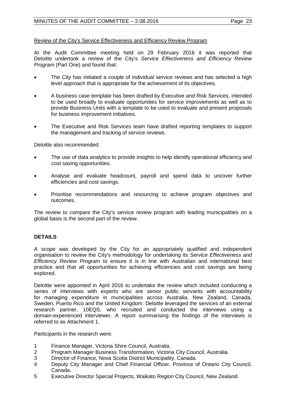#### Review of the City's Service Effectiveness and Efficiency Review Program

At the Audit Committee meeting held on 29 February 2016 it was reported that Deloitte undertook a review of the City's *Service Effectiveness and Efficiency Review Program* (Part One) and found that:

- The City has initiated a couple of individual service reviews and has selected a high level approach that is appropriate for the achievement of its objectives.
- A business case template has been drafted by Executive and Risk Services, intended to be used broadly to evaluate opportunities for service improvements as well as to provide Business Units with a template to be used to evaluate and present proposals for business improvement initiatives.
- The Executive and Risk Services team have drafted reporting templates to support the management and tracking of service reviews.

Deloitte also recommended:

- The use of data analytics to provide insights to help identify operational efficiency and cost saving opportunities.
- Analyse and evaluate headcount, payroll and spend data to uncover further efficiencies and cost savings.
- Prioritise recommendations and resourcing to achieve program objectives and outcomes.

The review to compare the City's service review program with leading municipalities on a global basis is the second part of the review.

#### **DETAILS**

A scope was developed by the City for an appropriately qualified and independent organisation to review the City's methodology for undertaking its *Service Effectiveness and Efficiency Review Program* to ensure it is in line with Australian and international best practice and that all opportunities for achieving efficiencies and cost savings are being explored.

Deloitte were appointed in April 2016 to undertake the review which included conducting a series of interviews with experts who are senior public servants with accountability for managing expenditure in municipalities across Australia, New Zealand, Canada, Sweden, Puerto Rico and the United Kingdom. Deloitte leveraged the services of an external research partner, 10EQS, who recruited and conducted the interviews using a domain-experienced interviewer. A report summarising the findings of the interviews is referred to as Attachment 1.

Participants in the research were:

- 1 Finance Manager, Victoria Shire Council, Australia.
- 2 Program Manager Business Transformation, Victoria City Council, Australia.
- 3 Director of Finance, Nova Scotia District Municipality, Canada.
- 4 Deputy City Manager and Chief Financial Officer, Province of Ontario City Council, Canada.
- 5 Executive Director Special Projects, Waikato Region City Council, New Zealand.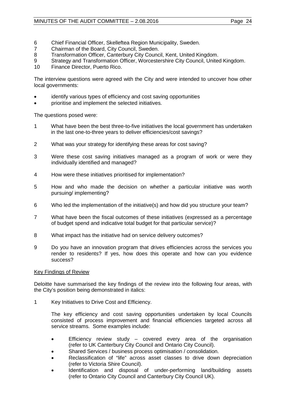- 6 Chief Financial Officer, Skelleftea Region Municipality, Sweden.<br>7 Chairman of the Board. City Council. Sweden.
- 7 Chairman of the Board, City Council, Sweden.<br>8 Transformation Officer, Canterbury City Counc
- 8 Transformation Officer, Canterbury City Council, Kent, United Kingdom.<br>9 Strategy and Transformation Officer, Worcestershire City Council, United
- 9 Strategy and Transformation Officer, Worcestershire City Council, United Kingdom.<br>10 Finance Director, Puerto Rico
- Finance Director, Puerto Rico.

The interview questions were agreed with the City and were intended to uncover how other local governments:

- identify various types of efficiency and cost saving opportunities
- prioritise and implement the selected initiatives.

The questions posed were:

- 1 What have been the best three-to-five initiatives the local government has undertaken in the last one-to-three years to deliver efficiencies/cost savings?
- 2 What was your strategy for identifying these areas for cost saving?
- 3 Were these cost saving initiatives managed as a program of work or were they individually identified and managed?
- 4 How were these initiatives prioritised for implementation?
- 5 How and who made the decision on whether a particular initiative was worth pursuing/ implementing?
- 6 Who led the implementation of the initiative(s) and how did you structure your team?
- 7 What have been the fiscal outcomes of these initiatives (expressed as a percentage of budget spend and indicative total budget for that particular service)?
- 8 What impact has the initiative had on service delivery outcomes?
- 9 Do you have an innovation program that drives efficiencies across the services you render to residents? If yes, how does this operate and how can you evidence success?

#### Key Findings of Review

Deloitte have summarised the key findings of the review into the following four areas, with the City's position being demonstrated in italics:

1 Key Initiatives to Drive Cost and Efficiency.

The key efficiency and cost saving opportunities undertaken by local Councils consisted of process improvement and financial efficiencies targeted across all service streams. Some examples include:

- Efficiency review study covered every area of the organisation (refer to UK Canterbury City Council and Ontario City Council).
- Shared Services / business process optimisation / consolidation.
- Reclassification of "life" across asset classes to drive down depreciation (refer to Victoria Shire Council).
- Identification and disposal of under-performing land/building assets (refer to Ontario City Council and Canterbury City Council UK).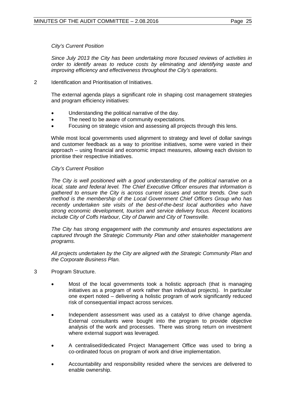#### *City's Current Position*

*Since July 2013 the City has been undertaking more focused reviews of activities in order to identify areas to reduce costs by eliminating and identifying waste and improving efficiency and effectiveness throughout the City's operations.*

2 Identification and Prioritisation of Initiatives.

The external agenda plays a significant role in shaping cost management strategies and program efficiency initiatives:

- Understanding the political narrative of the day.
- The need to be aware of community expectations.
- Focusing on strategic vision and assessing all projects through this lens.

While most local governments used alignment to strategy and level of dollar savings and customer feedback as a way to prioritise initiatives, some were varied in their approach – using financial and economic impact measures, allowing each division to prioritise their respective initiatives.

#### *City's Current Position*

*The City is well positioned with a good understanding of the political narrative on a local, state and federal level. The Chief Executive Officer ensures that information is gathered to ensure the City is across current issues and sector trends. One such method is the membership of the Local Government Chief Officers Group who has recently undertaken site visits of the best-of-the-best local authorities who have strong economic development, tourism and service delivery focus. Recent locations include City of Coffs Harbour, City of Darwin and City of Townsville.*

*The City has strong engagement with the community and ensures expectations are captured through the Strategic Community Plan and other stakeholder management programs.*

*All projects undertaken by the City are aligned with the Strategic Community Plan and the Corporate Business Plan.*

- 3 Program Structure.
	- Most of the local governments took a holistic approach (that is managing initiatives as a program of work rather than individual projects). In particular one expert noted – delivering a holistic program of work significantly reduced risk of consequential impact across services.
	- Independent assessment was used as a catalyst to drive change agenda. External consultants were bought into the program to provide objective analysis of the work and processes. There was strong return on investment where external support was leveraged.
	- A centralised/dedicated Project Management Office was used to bring a co-ordinated focus on program of work and drive implementation.
	- Accountability and responsibility resided where the services are delivered to enable ownership.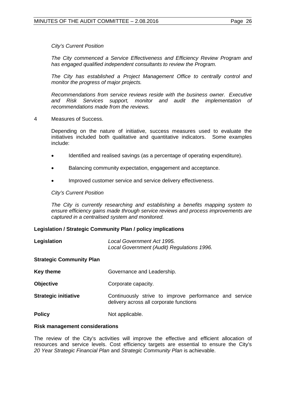#### *City's Current Position*

*The City commenced a Service Effectiveness and Efficiency Review Program and has engaged qualified independent consultants to review the Program.* 

*The City has established a Project Management Office to centrally control and monitor the progress of major projects.* 

*Recommendations from service reviews reside with the business owner. Executive and Risk Services support, monitor and audit the implementation of recommendations made from the reviews.*

4 Measures of Success.

Depending on the nature of initiative, success measures used to evaluate the initiatives included both qualitative and quantitative indicators. Some examples include:

- Identified and realised savings (as a percentage of operating expenditure).
- Balancing community expectation, engagement and acceptance.
- Improved customer service and service delivery effectiveness.

#### *City's Current Position*

*The City is currently researching and establishing a benefits mapping system to ensure efficiency gains made through service reviews and process improvements are captured in a centralised system and monitored.*

#### **Legislation / Strategic Community Plan / policy implications**

| Legislation | Local Government Act 1995.                 |  |
|-------------|--------------------------------------------|--|
|             | Local Government (Audit) Regulations 1996. |  |

#### **Strategic Community Plan**

| Key theme                   | Governance and Leadership.                                                                        |
|-----------------------------|---------------------------------------------------------------------------------------------------|
| <b>Objective</b>            | Corporate capacity.                                                                               |
| <b>Strategic initiative</b> | Continuously strive to improve performance and service<br>delivery across all corporate functions |
| <b>Policy</b>               | Not applicable.                                                                                   |

# **Risk management considerations**

### The review of the City's activities will improve the effective and efficient allocation of resources and service levels. Cost efficiency targets are essential to ensure the City's *20 Year Strategic Financial Plan* and *Strategic Community Plan* is achievable.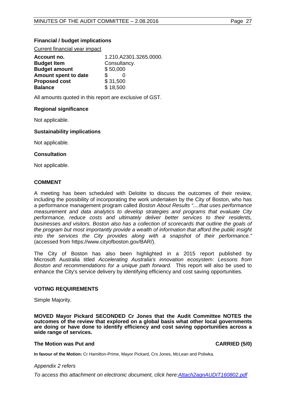#### **Financial / budget implications**

Current financial year impact

| Account no.          | 1.210.A2301.3265.0000. |  |
|----------------------|------------------------|--|
| <b>Budget Item</b>   | Consultancy.           |  |
| <b>Budget amount</b> | \$50,000               |  |
| Amount spent to date |                        |  |
| <b>Proposed cost</b> | \$31,500               |  |
| <b>Balance</b>       | \$18,500               |  |

All amounts quoted in this report are exclusive of GST.

#### **Regional significance**

Not applicable.

#### **Sustainability implications**

Not applicable.

#### **Consultation**

Not applicable.

#### **COMMENT**

A meeting has been scheduled with Deloitte to discuss the outcomes of their review, including the possibility of incorporating the work undertaken by the City of Boston, who has a performance management program called *Boston About Results "....that uses performance measurement and data analytics to develop strategies and programs that evaluate City performance, reduce costs and ultimately deliver better services to their residents, businesses and visitors. Boston also has a collection of scorecards that outline the goals of the program but most importantly provide a wealth of information that afford the public insight into the services the City provides along with a snapshot of their performance."* (accessed from https://www.cityofboston.gov/BAR/).

The City of Boston has also been highlighted in a 2015 report published by Microsoft Australia titled *Accelerating Australia's innovation ecosystem: Lessons from Boston and recommendations for a unique path forward.* This report will also be used to enhance the City's service delivery by identifying efficiency and cost saving opportunities.

#### **VOTING REQUIREMENTS**

Simple Majority.

**MOVED Mayor Pickard SECONDED Cr Jones that the Audit Committee NOTES the outcomes of the review that explored on a global basis what other local governments are doing or have done to identify efficiency and cost saving opportunities across a wide range of services.** 

#### **The Motion was Put and CARRIED (5/0)**

<span id="page-26-0"></span>

**In favour of the Motion:** Cr Hamilton-Prime, Mayor Pickard, Crs Jones, McLean and Poliwka.

#### *Appendix 2 refers*

*[To access this attachment on electronic document, click here:Attach2agnAUDIT160802.pdf](http://www.joondalup.wa.gov.au/files/committees/AUDT/2016/Attach2agnAUDIT160802.pdf)*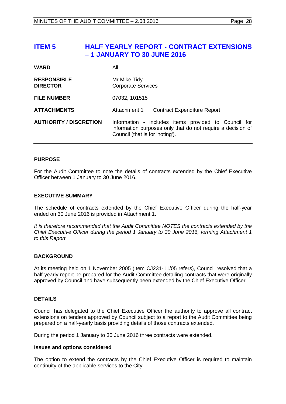# **ITEM 5 HALF YEARLY REPORT - CONTRACT EXTENSIONS – 1 JANUARY TO 30 JUNE 2016**

| <b>WARD</b>                           | All                                                                                                                                                    |  |
|---------------------------------------|--------------------------------------------------------------------------------------------------------------------------------------------------------|--|
| <b>RESPONSIBLE</b><br><b>DIRECTOR</b> | Mr Mike Tidy<br><b>Corporate Services</b>                                                                                                              |  |
| <b>FILE NUMBER</b>                    | 07032, 101515                                                                                                                                          |  |
| <b>ATTACHMENTS</b>                    | Attachment 1<br><b>Contract Expenditure Report</b>                                                                                                     |  |
| <b>AUTHORITY / DISCRETION</b>         | Information - includes items provided to Council for<br>information purposes only that do not require a decision of<br>Council (that is for 'noting'). |  |

#### **PURPOSE**

For the Audit Committee to note the details of contracts extended by the Chief Executive Officer between 1 January to 30 June 2016.

#### **EXECUTIVE SUMMARY**

The schedule of contracts extended by the Chief Executive Officer during the half-year ended on 30 June 2016 is provided in Attachment 1.

*It is therefore recommended that the Audit Committee NOTES the contracts extended by the Chief Executive Officer during the period 1 January to 30 June 2016, forming Attachment 1 to this Report.* 

#### **BACKGROUND**

At its meeting held on 1 November 2005 (Item CJ231-11/05 refers), Council resolved that a half-yearly report be prepared for the Audit Committee detailing contracts that were originally approved by Council and have subsequently been extended by the Chief Executive Officer.

#### **DETAILS**

Council has delegated to the Chief Executive Officer the authority to approve all contract extensions on tenders approved by Council subject to a report to the Audit Committee being prepared on a half-yearly basis providing details of those contracts extended.

During the period 1 January to 30 June 2016 three contracts were extended.

#### **Issues and options considered**

The option to extend the contracts by the Chief Executive Officer is required to maintain continuity of the applicable services to the City.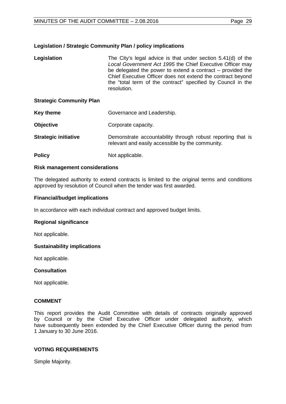#### **Legislation / Strategic Community Plan / policy implications**

| The City's legal advice is that under section 5.41(d) of the<br>Legislation<br>Local Government Act 1995 the Chief Executive Officer may<br>be delegated the power to extend a contract $-$ provided the<br>Chief Executive Officer does not extend the contract beyond<br>the "total term of the contract" specified by Council in the<br>resolution. |  |
|--------------------------------------------------------------------------------------------------------------------------------------------------------------------------------------------------------------------------------------------------------------------------------------------------------------------------------------------------------|--|
|--------------------------------------------------------------------------------------------------------------------------------------------------------------------------------------------------------------------------------------------------------------------------------------------------------------------------------------------------------|--|

#### **Strategic Community Plan**

| Key theme        | Governance and Leadership. |  |  |
|------------------|----------------------------|--|--|
| <b>Objective</b> | Corporate capacity.        |  |  |
| __               |                            |  |  |

- **Strategic initiative Demonstrate accountability through robust reporting that is** relevant and easily accessible by the community.
- **Policy** Not applicable.

#### **Risk management considerations**

The delegated authority to extend contracts is limited to the original terms and conditions approved by resolution of Council when the tender was first awarded.

#### **Financial/budget implications**

In accordance with each individual contract and approved budget limits.

#### **Regional significance**

Not applicable.

#### **Sustainability implications**

Not applicable.

#### **Consultation**

Not applicable.

#### **COMMENT**

This report provides the Audit Committee with details of contracts originally approved by Council or by the Chief Executive Officer under delegated authority, which have subsequently been extended by the Chief Executive Officer during the period from 1 January to 30 June 2016.

#### **VOTING REQUIREMENTS**

Simple Majority.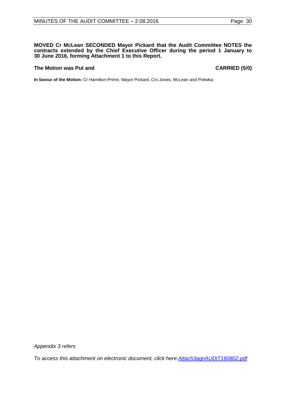#### **MOVED Cr McLean SECONDED Mayor Pickard that the Audit Committee NOTES the contracts extended by the Chief Executive Officer during the period 1 January to 30 June 2016, forming Attachment 1 to this Report.**

#### **The Motion was Put and CARRIED (5/0)**

**In favour of the Motion:** Cr Hamilton-Prime, Mayor Pickard, Crs Jones, McLean and Poliwka.

*Appendix 3 refers*

<span id="page-29-0"></span>*[To access this attachment on electronic document, click here:Attach3agnAUDIT160802.pdf](http://www.joondalup.wa.gov.au/files/committees/AUDT/2016/Attach3agnAUDIT160802.pdf)*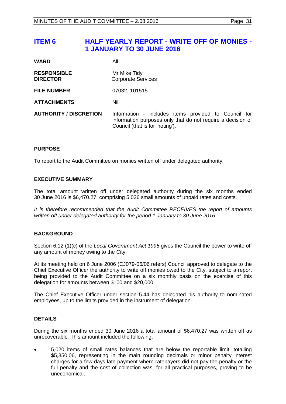| <b>WARD</b>                           | All                                                                                                                                                    |
|---------------------------------------|--------------------------------------------------------------------------------------------------------------------------------------------------------|
| <b>RESPONSIBLE</b><br><b>DIRECTOR</b> | Mr Mike Tidy<br><b>Corporate Services</b>                                                                                                              |
| <b>FILE NUMBER</b>                    | 07032, 101515                                                                                                                                          |
| <b>ATTACHMENTS</b>                    | Nil                                                                                                                                                    |
| <b>AUTHORITY / DISCRETION</b>         | Information - includes items provided to Council for<br>information purposes only that do not require a decision of<br>Council (that is for 'noting'). |

#### **PURPOSE**

To report to the Audit Committee on monies written off under delegated authority.

#### **EXECUTIVE SUMMARY**

The total amount written off under delegated authority during the six months ended 30 June 2016 is \$6,470.27, comprising 5,026 small amounts of unpaid rates and costs.

*It is therefore recommended that the Audit Committee RECEIVES the report of amounts written off under delegated authority for the period 1 January to 30 June 2016.*

#### **BACKGROUND**

Section 6.12 (1)(c) of the *Local Government Act 1995* gives the Council the power to write off any amount of money owing to the City.

At its meeting held on 6 June 2006 (CJ079-06/06 refers) Council approved to delegate to the Chief Executive Officer the authority to write off monies owed to the City, subject to a report being provided to the Audit Committee on a six monthly basis on the exercise of this delegation for amounts between \$100 and \$20,000.

The Chief Executive Officer under section 5.44 has delegated his authority to nominated employees, up to the limits provided in the instrument of delegation.

#### **DETAILS**

During the six months ended 30 June 2016 a total amount of \$6,470.27 was written off as unrecoverable. This amount included the following:

• 5,020 items of small rates balances that are below the reportable limit, totalling \$5,350.06, representing in the main rounding decimals or minor penalty interest charges for a few days late payment where ratepayers did not pay the penalty or the full penalty and the cost of collection was, for all practical purposes, proving to be uneconomical.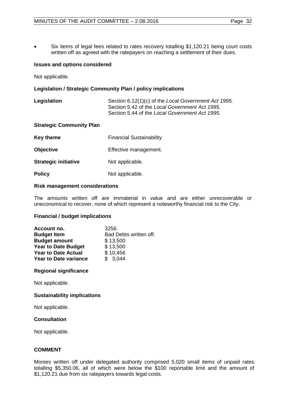Six items of legal fees related to rates recovery totalling \$1,120.21 being court costs written off as agreed with the ratepayers on reaching a settlement of their dues.

#### **Issues and options considered**

Not applicable.

#### **Legislation / Strategic Community Plan / policy implications**

| Legislation | Section 6.12(1)(c) of the Local Government Act 1995. |
|-------------|------------------------------------------------------|
|             | Section 5.42 of the Local Government Act 1995.       |
|             | Section 5.44 of the Local Government Act 1995.       |

#### **Strategic Community Plan**

| <b>Financial Sustainability</b><br>Key theme |                       |
|----------------------------------------------|-----------------------|
| <b>Objective</b>                             | Effective management. |
| <b>Strategic initiative</b>                  | Not applicable.       |
| <b>Policy</b>                                | Not applicable.       |

#### **Risk management considerations**

The amounts written off are immaterial in value and are either unrecoverable or uneconomical to recover, none of which represent a noteworthy financial risk to the City.

#### **Financial / budget implications**

| Account no.                  | 3256.                  |  |  |
|------------------------------|------------------------|--|--|
| <b>Budget Item</b>           | Bad Debts written off. |  |  |
| <b>Budget amount</b>         | \$13,500               |  |  |
| <b>Year to Date Budget</b>   | \$13,500               |  |  |
| <b>Year to Date Actual</b>   | \$10,456               |  |  |
| <b>Year to Date variance</b> | \$3.044                |  |  |

#### **Regional significance**

Not applicable.

#### **Sustainability implications**

Not applicable.

#### **Consultation**

Not applicable.

#### **COMMENT**

Monies written off under delegated authority comprised 5,020 small items of unpaid rates totalling \$5,350.06, all of which were below the \$100 reportable limit and the amount of \$1,120.21 due from six ratepayers towards legal costs.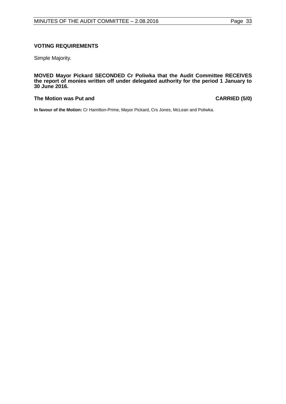#### **VOTING REQUIREMENTS**

Simple Majority.

**MOVED Mayor Pickard SECONDED Cr Poliwka that the Audit Committee RECEIVES the report of monies written off under delegated authority for the period 1 January to 30 June 2016.**

#### **The Motion was Put and CARRIED (5/0)**

**In favour of the Motion:** Cr Hamilton-Prime, Mayor Pickard, Crs Jones, McLean and Poliwka.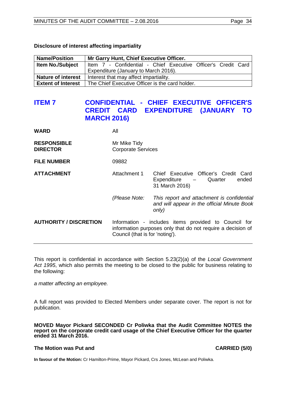| Disclosure of interest affecting impartiality |  |  |
|-----------------------------------------------|--|--|
|-----------------------------------------------|--|--|

| <b>Name/Position</b>      | Mr Garry Hunt, Chief Executive Officer.                       |  |  |
|---------------------------|---------------------------------------------------------------|--|--|
| <b>Item No./Subject</b>   | Item 7 - Confidential - Chief Executive Officer's Credit Card |  |  |
|                           | Expenditure (January to March 2016).                          |  |  |
| <b>Nature of interest</b> | Interest that may affect impartiality.                        |  |  |
| <b>Extent of Interest</b> | The Chief Executive Officer is the card holder.               |  |  |

# <span id="page-33-0"></span>**ITEM 7 CONFIDENTIAL - CHIEF EXECUTIVE OFFICER'S EXPENDITURE (JANUARY TO MARCH 2016)**

| <b>WARD</b>                           | All                                                                                                                                                    |                                                                                                                        |
|---------------------------------------|--------------------------------------------------------------------------------------------------------------------------------------------------------|------------------------------------------------------------------------------------------------------------------------|
| <b>RESPONSIBLE</b><br><b>DIRECTOR</b> | Mr Mike Tidy<br><b>Corporate Services</b>                                                                                                              |                                                                                                                        |
| <b>FILE NUMBER</b>                    | 09882                                                                                                                                                  |                                                                                                                        |
| <b>ATTACHMENT</b>                     | Attachment 1                                                                                                                                           | Chief Executive Officer's Credit Card<br>ended<br>Quarter<br>Expenditure<br>$\overline{\phantom{m}}$<br>31 March 2016) |
|                                       | (Please Note:                                                                                                                                          | This report and attachment is confidential<br>and will appear in the official Minute Book<br>only)                     |
| <b>AUTHORITY / DISCRETION</b>         | Information - includes items provided to Council for<br>information purposes only that do not require a decision of<br>Council (that is for 'noting'). |                                                                                                                        |

This report is confidential in accordance with Section 5.23(2)(a) of the *Local Government Act 1995*, which also permits the meeting to be closed to the public for business relating to the following:

*a matter affecting an employee.*

A full report was provided to Elected Members under separate cover. The report is not for publication.

**MOVED Mayor Pickard SECONDED Cr Poliwka that the Audit Committee NOTES the report on the corporate credit card usage of the Chief Executive Officer for the quarter ended 31 March 2016.**

#### **The Motion was Put and CARRIED (5/0)**

**In favour of the Motion:** Cr Hamilton-Prime, Mayor Pickard, Crs Jones, McLean and Poliwka.